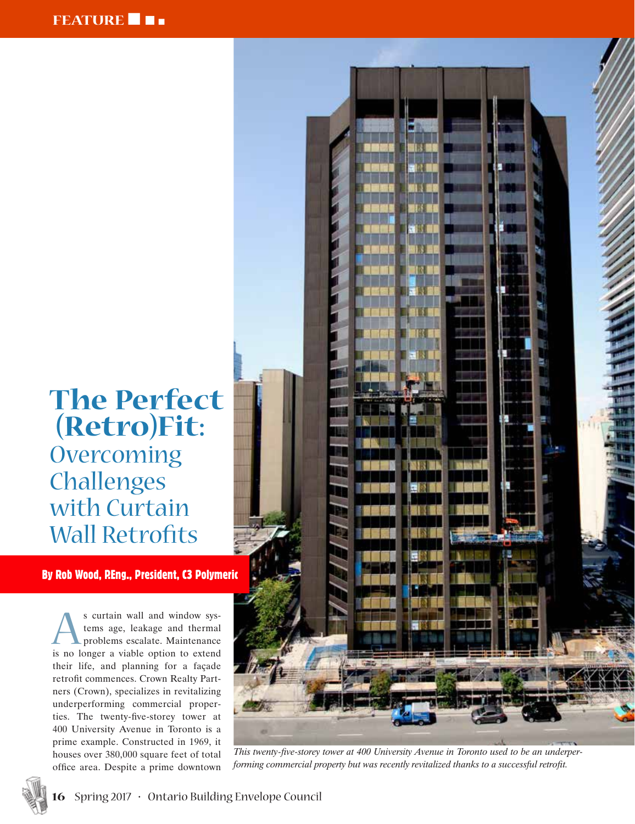# **The Perfect (Retro)Fit: Overcoming** Challenges with Curtain Wall Retrofits

By Rob Wood, P.Eng., President, C3 Polymeric

s curtain wall and window sys-<br>tems age, leakage and thermal<br>problems escalate. Maintenance<br>is no longer a viable option to extend tems age, leakage and thermal problems escalate. Maintenance is no longer a viable option to extend their life, and planning for a façade retrofit commences. Crown Realty Partners (Crown), specializes in revitalizing underperforming commercial properties. The twenty-five-storey tower at 400 University Avenue in Toronto is a prime example. Constructed in 1969, it houses over 380,000 square feet of total office area. Despite a prime downtown



*This twenty-five-storey tower at 400 University Avenue in Toronto used to be an underperforming commercial property but was recently revitalized thanks to a successful retrofit.*

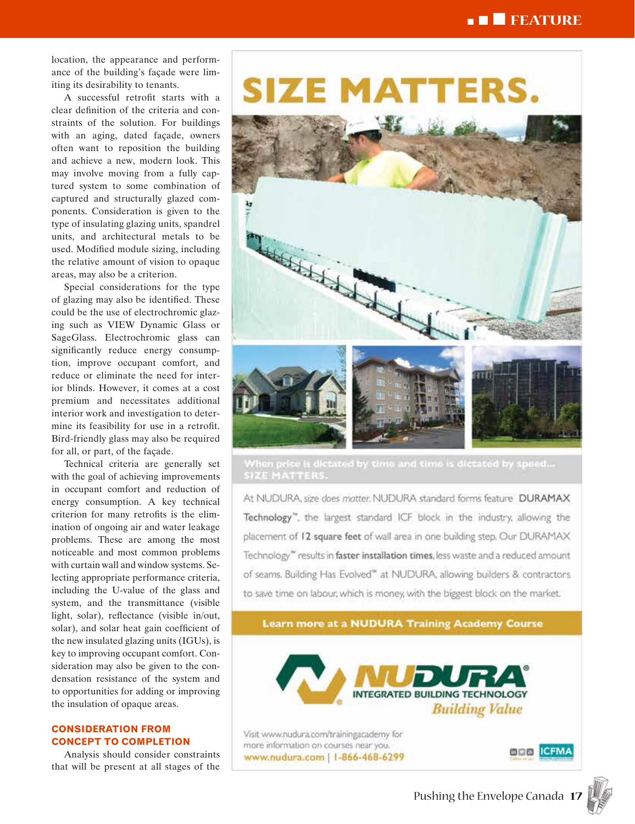# n n n **FEATURE**

location, the appearance and perform ance of the building's façade were lim iting its desirability to tenants.

A successful retrofit starts with a clear definition of the criteria and con straints of the solution. For buildings with an aging, dated façade, owners often want to reposition the building and achieve a new, modern look. This may involve moving from a fully cap tured system to some combination of captured and structurally glazed com ponents. Consideration is given to the type of insulating glazing units, spandrel units, and architectural metals to be used. Modified module sizing, including the relative amount of vision to opaque areas, may also be a criterion.

Special considerations for the type of glazing may also be identified. These could be the use of electrochromic glaz ing such as VIEW Dynamic Glass or SageGlass. Electrochromic glass can significantly reduce energy consump tion, improve occupant comfort, and reduce or eliminate the need for inter ior blinds. However, it comes at a cost premium and necessitates additional interior work and investigation to deter mine its feasibility for use in a retrofit. Bird-friendly glass may also be required for all, or part, of the façade.

Technical criteria are generally set with the goal of achieving improvements in occupant comfort and reduction of energy consumption. A key technical criterion for many retrofits is the elim ination of ongoing air and water leakage problems. These are among the most noticeable and most common problems with curtain wall and window systems. Se lecting appropriate performance criteria, including the U-value of the glass and system, and the transmittance (visible light, solar), reflectance (visible in/out, solar), and solar heat gain coefficient of the new insulated glazing units (IGUs), is key to improving occupant comfort. Con sideration may also be given to the con densation resistance of the system and to opportunities for adding or improving the insulation of opaque areas.

#### **CONSIDERATION FROM CONCEPT TO COMPLETION**

Analysis should consider constraints that will be present at all stages of the

# **SIZE MATTERS.**



When price is dictated by time and time is dictated by speed... SIZE MATTERS.

At NUDURA, size does matter. NUDURA standard forms feature DURAMAX Technology", the largest standard ICF block in the industry, allowing the placement of 12 square feet of wall area in one building step. Our DURAMAX Technology<sup>16</sup> results in faster installation times, less waste and a reduced amount of seams. Building Has Evolved" at NUDURA, allowing builders & contractors to save time on labour, which is money, with the biggest block on the market.

**Learn more at a NUDURA Training Academy Course** 



Visit www.nudura.com/trainingacademy for more information on courses near you. www.nudura.com | 1-866-468-6299

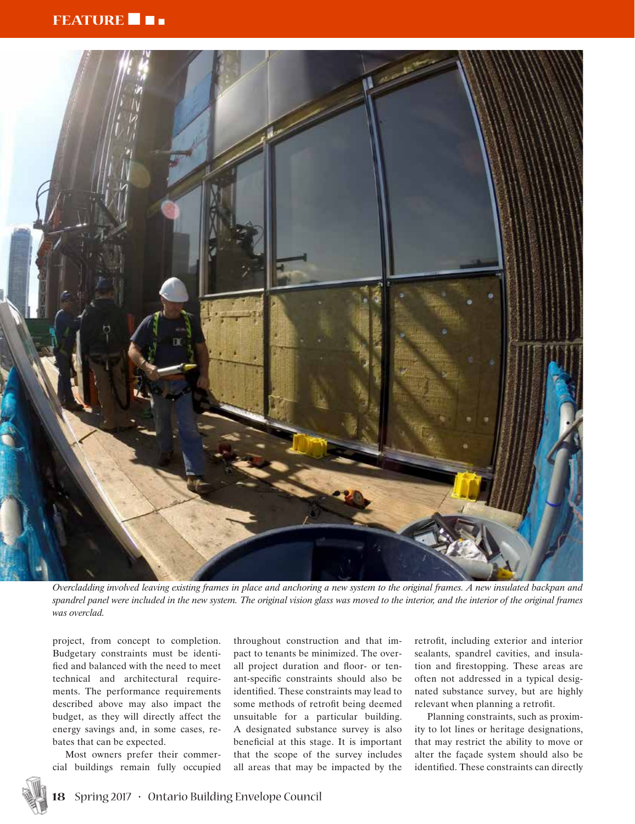### **FEATURE 1**



*Overcladding involved leaving existing frames in place and anchoring a new system to the original frames. A new insulated backpan and spandrel panel were included in the new system. The original vision glass was moved to the interior, and the interior of the original frames was overclad.*

project, from concept to completion. Budgetary constraints must be identified and balanced with the need to meet technical and architectural requirements. The performance requirements described above may also impact the budget, as they will directly affect the energy savings and, in some cases, rebates that can be expected.

Most owners prefer their commercial buildings remain fully occupied throughout construction and that impact to tenants be minimized. The overall project duration and floor- or tenant-specific constraints should also be identified. These constraints may lead to some methods of retrofit being deemed unsuitable for a particular building. A designated substance survey is also beneficial at this stage. It is important that the scope of the survey includes all areas that may be impacted by the

retrofit, including exterior and interior sealants, spandrel cavities, and insulation and firestopping. These areas are often not addressed in a typical designated substance survey, but are highly relevant when planning a retrofit.

Planning constraints, such as proximity to lot lines or heritage designations, that may restrict the ability to move or alter the façade system should also be identified. These constraints can directly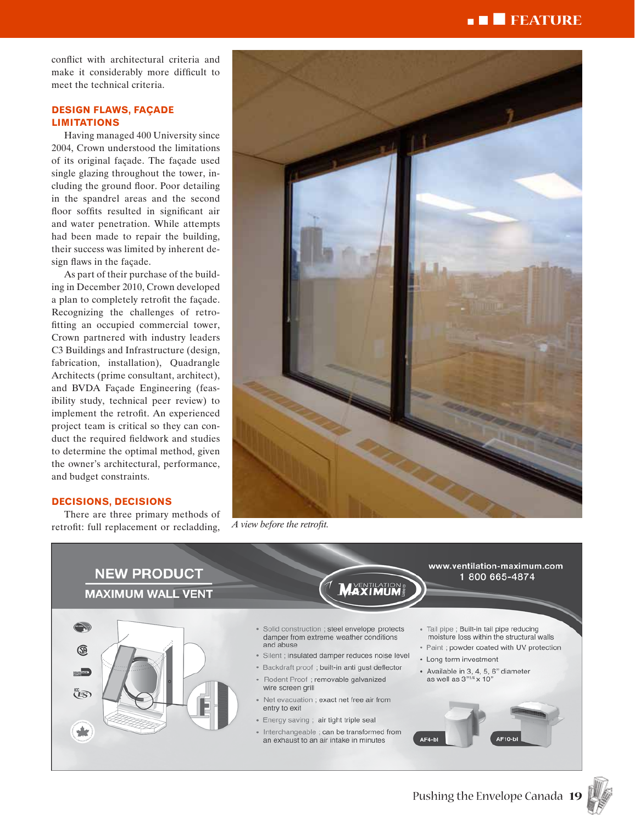## <sup>n</sup> n n **FEATURE**

conflict with architectural criteria and make it considerably more difficult to meet the technical criteria.

#### **DESIGN FLAWS, FAÇADE LIMITATIONS**

Having managed 400 University since 2004, Crown understood the limitations of its original façade. The façade used single glazing throughout the tower, including the ground floor. Poor detailing in the spandrel areas and the second floor soffits resulted in significant air and water penetration. While attempts had been made to repair the building, their success was limited by inherent design flaws in the façade.

As part of their purchase of the building in December 2010, Crown developed a plan to completely retrofit the façade. Recognizing the challenges of retrofitting an occupied commercial tower, Crown partnered with industry leaders C3 Buildings and Infrastructure (design, fabrication, installation), Quadrangle Architects (prime consultant, architect), and BVDA Façade Engineering (feasibility study, technical peer review) to implement the retrofit. An experienced project team is critical so they can conduct the required fieldwork and studies to determine the optimal method, given the owner's architectural, performance, and budget constraints.

#### **DECISIONS, DECISIONS**

There are three primary methods of retrofit: full replacement or recladding, *A view before the retrofit.*





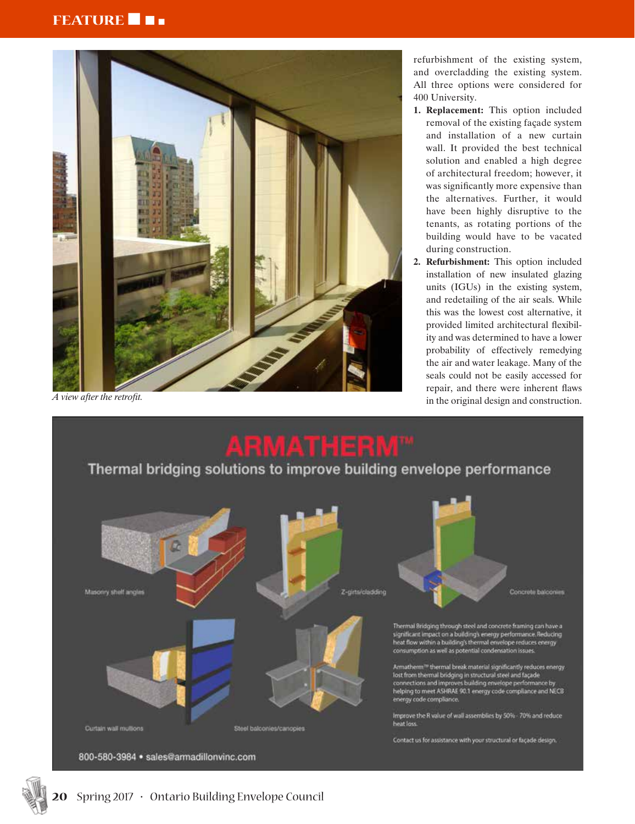# **FEATURE**



refurbishment of the existing system, and overcladding the existing system. All three options were considered for 400 University.

- **1. Replacement:** This option included removal of the existing façade system and installation of a new curtain wall. It provided the best technical solution and enabled a high degree of architectural freedom; however, it was significantly more expensive than the alternatives. Further, it would have been highly disruptive to the tenants, as rotating portions of the building would have to be vacated during construction.
- **2. Refurbishment:** This option included installation of new insulated glazing units (IGUs) in the existing system, and redetailing of the air seals. While this was the lowest cost alternative, it provided limited architectural flexibility and was determined to have a lower probability of effectively remedying the air and water leakage. Many of the seals could not be easily accessed for repair, and there were inherent flaws A view after the retrofit.<br>in the original design and construction.



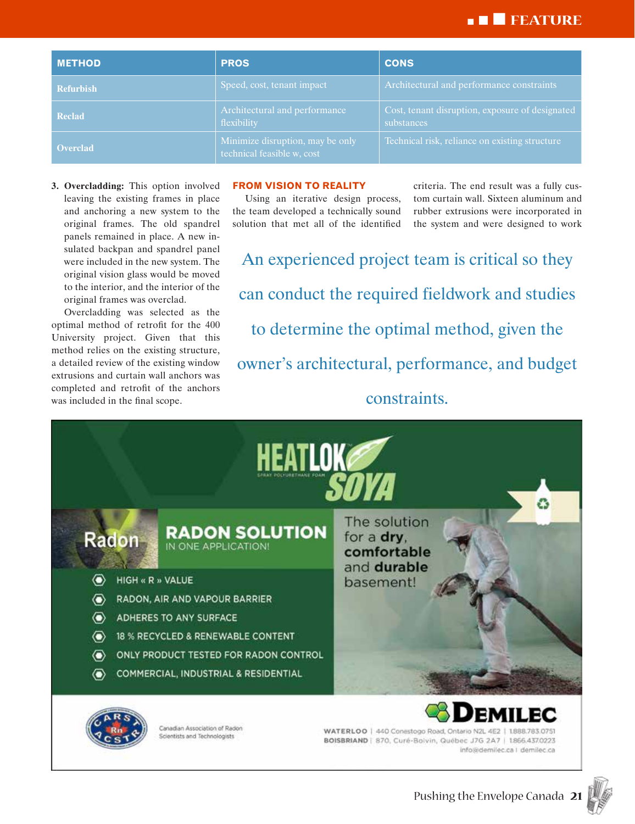# <sup>n</sup> n n **FEATURE**

| <b>METHOD</b>    | <b>PROS</b>                                                    | <b>CONS</b>                                                   |
|------------------|----------------------------------------------------------------|---------------------------------------------------------------|
| <b>Refurbish</b> | Speed, cost, tenant impact                                     | Architectural and performance constraints                     |
| <b>Reclad</b>    | Architectural and performance<br>flexibility                   | Cost, tenant disruption, exposure of designated<br>substances |
| <b>Overclad</b>  | Minimize disruption, may be only<br>technical feasible w, cost | Technical risk, reliance on existing structure                |

**3. Overcladding:** This option involved leaving the existing frames in place and anchoring a new system to the original frames. The old spandrel panels remained in place. A new insulated backpan and spandrel panel were included in the new system. The original vision glass would be moved to the interior, and the interior of the original frames was overclad.

Overcladding was selected as the optimal method of retrofit for the 400 University project. Given that this method relies on the existing structure, a detailed review of the existing window extrusions and curtain wall anchors was completed and retrofit of the anchors was included in the final scope.

#### **FROM VISION TO REALITY**

Using an iterative design process, the team developed a technically sound solution that met all of the identified criteria. The end result was a fully custom curtain wall. Sixteen aluminum and rubber extrusions were incorporated in the system and were designed to work

An experienced project team is critical so they can conduct the required fieldwork and studies to determine the optimal method, given the owner's architectural, performance, and budget constraints.



Canadian Association of Radon

**Scientists and Technologists** 

WATERLOO | 440 Conestogo Road, Ontario N2L 4E2 | 1888.783.0751 BOISBRIAND | 870, Curé-Boivin, Québec J7G 2A7 | 1866.437.0223 info@demilec.ca | demilec.ca